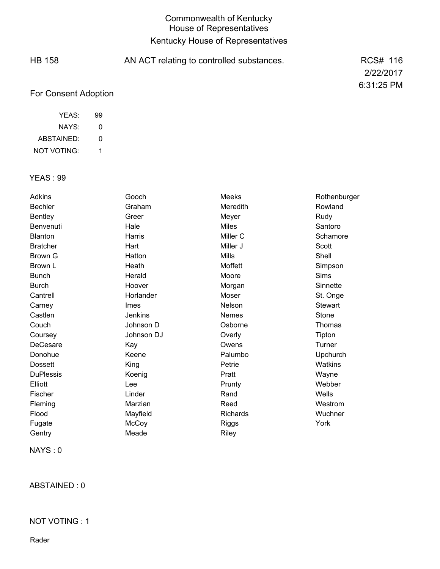# Commonwealth of Kentucky House of Representatives Kentucky House of Representatives

| <b>HB 158</b>        | AN ACT relating to controlled substances. | RCS# 116   |
|----------------------|-------------------------------------------|------------|
|                      |                                           | 2/22/2017  |
|                      |                                           | 6:31:25 PM |
| For Consent Adoption |                                           |            |

| YEAS:      | 99 |
|------------|----|
| NAYS:      | O  |
| ABSTAINED: | O  |

1 NOT VOTING:

## YEAS : 99

| Adkins           | Gooch          | Meeks           | Rothenburger   |
|------------------|----------------|-----------------|----------------|
| <b>Bechler</b>   | Graham         | Meredith        | Rowland        |
| <b>Bentley</b>   | Greer          | Meyer           | Rudy           |
| Benvenuti        | Hale           | <b>Miles</b>    | Santoro        |
| Blanton          | Harris         | Miller C        | Schamore       |
| <b>Bratcher</b>  | Hart           | Miller J        | Scott          |
| Brown G          | Hatton         | <b>Mills</b>    | Shell          |
| Brown L          | Heath          | Moffett         | Simpson        |
| <b>Bunch</b>     | Herald         | Moore           | Sims           |
| <b>Burch</b>     | Hoover         | Morgan          | Sinnette       |
| Cantrell         | Horlander      | Moser           | St. Onge       |
| Carney           | Imes           | Nelson          | <b>Stewart</b> |
| Castlen          | <b>Jenkins</b> | Nemes           | Stone          |
| Couch            | Johnson D      | Osborne         | Thomas         |
| Coursey          | Johnson DJ     | Overly          | Tipton         |
| DeCesare         | Kay            | Owens           | Turner         |
| Donohue          | Keene          | Palumbo         | Upchurch       |
| <b>Dossett</b>   | King           | Petrie          | Watkins        |
| <b>DuPlessis</b> | Koenig         | Pratt           | Wayne          |
| Elliott          | Lee            | Prunty          | Webber         |
| Fischer          | Linder         | Rand            | Wells          |
| Fleming          | Marzian        | Reed            | Westrom        |
| Flood            | Mayfield       | <b>Richards</b> | Wuchner        |
| Fugate           | McCoy          | Riggs           | York           |
| Gentry           | Meade          | Riley           |                |

NAYS : 0

ABSTAINED : 0

#### NOT VOTING : 1

Rader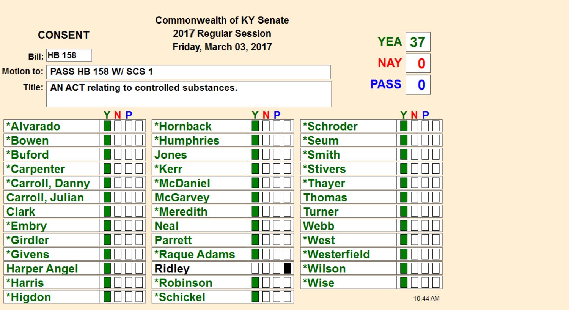| <b>Commonwealth of KY Senate</b> |                        |                             |                                                  |     |                        |              |          |  |
|----------------------------------|------------------------|-----------------------------|--------------------------------------------------|-----|------------------------|--------------|----------|--|
|                                  | <b>CONSENT</b>         |                             | 2017 Regular Session<br>Friday, March 03, 2017   |     |                        | <b>YEA</b>   | 37       |  |
|                                  | <b>Bill: HB 158</b>    |                             |                                                  |     |                        | <b>NAY</b>   | 0        |  |
| Motion to:                       |                        | <b>PASS HB 158 W/ SCS 1</b> |                                                  |     |                        |              |          |  |
|                                  |                        |                             | Title: AN ACT relating to controlled substances. |     |                        | <b>PASS</b>  | $\bf{0}$ |  |
|                                  |                        |                             |                                                  |     |                        |              |          |  |
|                                  |                        | YNP                         |                                                  | YNP |                        |              | YNP      |  |
| <b>*Alvarado</b>                 |                        |                             | *Hornback                                        |     | *Schroder              |              |          |  |
| *Bowen                           |                        |                             | <b>*Humphries</b>                                |     | *Seum                  |              |          |  |
| *Buford                          |                        |                             | Jones                                            |     | *Smith                 |              |          |  |
| *Carpenter                       |                        |                             | *Kerr                                            |     | <i><b>*Stivers</b></i> |              |          |  |
|                                  | <b>*Carroll, Danny</b> |                             | <b>*McDaniel</b>                                 |     | *Thayer                |              |          |  |
| <b>Carroll, Julian</b>           |                        |                             | <b>McGarvey</b>                                  |     | <b>Thomas</b>          |              |          |  |
| <b>Clark</b>                     |                        |                             | *Meredith                                        |     | <b>Turner</b>          |              |          |  |
| *Embry                           |                        |                             | <b>Neal</b>                                      |     | <b>Webb</b>            |              |          |  |
| *Girdler                         |                        |                             | <b>Parrett</b>                                   |     | *West                  |              |          |  |
| <i><b>*Givens</b></i>            |                        |                             | <b>*Raque Adams</b>                              |     |                        | *Westerfield |          |  |
| <b>Harper Angel</b>              |                        |                             | <b>Ridley</b>                                    |     | *Wilson                |              |          |  |
| <b>*Harris</b>                   |                        |                             | <b>*Robinson</b>                                 |     | *Wise                  |              |          |  |
| *Higdon                          |                        |                             | *Schickel                                        |     |                        |              | 10:44 AM |  |